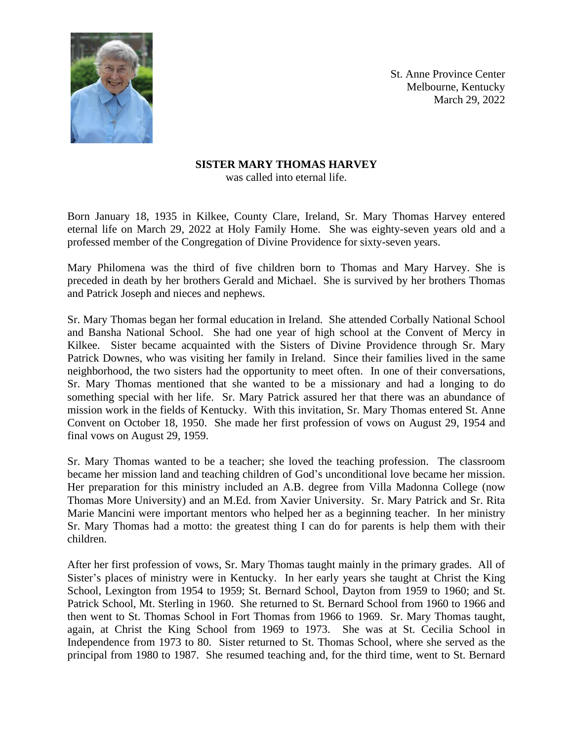

St. Anne Province Center Melbourne, Kentucky March 29, 2022

## **SISTER MARY THOMAS HARVEY**

was called into eternal life.

Born January 18, 1935 in Kilkee, County Clare, Ireland, Sr. Mary Thomas Harvey entered eternal life on March 29, 2022 at Holy Family Home. She was eighty-seven years old and a professed member of the Congregation of Divine Providence for sixty-seven years.

Mary Philomena was the third of five children born to Thomas and Mary Harvey. She is preceded in death by her brothers Gerald and Michael. She is survived by her brothers Thomas and Patrick Joseph and nieces and nephews.

Sr. Mary Thomas began her formal education in Ireland. She attended Corbally National School and Bansha National School. She had one year of high school at the Convent of Mercy in Kilkee. Sister became acquainted with the Sisters of Divine Providence through Sr. Mary Patrick Downes, who was visiting her family in Ireland. Since their families lived in the same neighborhood, the two sisters had the opportunity to meet often. In one of their conversations, Sr. Mary Thomas mentioned that she wanted to be a missionary and had a longing to do something special with her life. Sr. Mary Patrick assured her that there was an abundance of mission work in the fields of Kentucky. With this invitation, Sr. Mary Thomas entered St. Anne Convent on October 18, 1950. She made her first profession of vows on August 29, 1954 and final vows on August 29, 1959.

Sr. Mary Thomas wanted to be a teacher; she loved the teaching profession. The classroom became her mission land and teaching children of God's unconditional love became her mission. Her preparation for this ministry included an A.B. degree from Villa Madonna College (now Thomas More University) and an M.Ed. from Xavier University. Sr. Mary Patrick and Sr. Rita Marie Mancini were important mentors who helped her as a beginning teacher. In her ministry Sr. Mary Thomas had a motto: the greatest thing I can do for parents is help them with their children.

After her first profession of vows, Sr. Mary Thomas taught mainly in the primary grades. All of Sister's places of ministry were in Kentucky. In her early years she taught at Christ the King School, Lexington from 1954 to 1959; St. Bernard School, Dayton from 1959 to 1960; and St. Patrick School, Mt. Sterling in 1960. She returned to St. Bernard School from 1960 to 1966 and then went to St. Thomas School in Fort Thomas from 1966 to 1969. Sr. Mary Thomas taught, again, at Christ the King School from 1969 to 1973. She was at St. Cecilia School in Independence from 1973 to 80. Sister returned to St. Thomas School, where she served as the principal from 1980 to 1987. She resumed teaching and, for the third time, went to St. Bernard